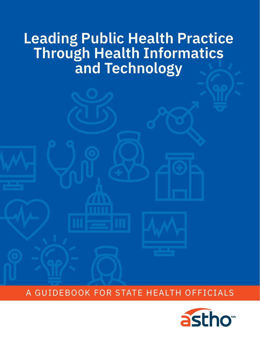## **Leading Public Health Practice Through Health Informatics and Technology**

A GUIDEBOOK FOR STATE HEALTH OFFICIALS

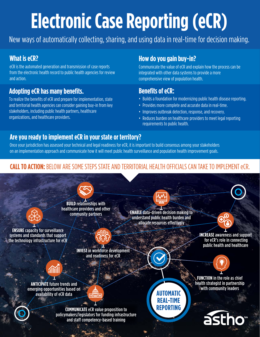# **Electronic Case Reporting (eCR)**

New ways of automatically collecting, sharing, and using data in real-time for decision making.

## **What is eCR?**

eCR is the automated generation and transmission of case reports [from the electronic health record to public health agencies for review](#page-7-0) and action.

## **[Adopting eCR has many benefits.](#page-24-0)**

To realize the benefits of eCR and prepare for implementation, state and territorial health agencies can consider gaining buy-in from key stakeholders, including public health partners, healthcare organizations, and healthcare providers.

## **How do you gain buy-in?**

Communicate the value of eCR and explain how the process can be integrated with other data systems to provide a more comprehensive view of population health.

## **Benefits of eCR:**

- Builds a foundation for modernizing public health disease reporting.
- Provides more complete and accurate data in real-time.
- Improves outbreak detection, response, and recovery.
- Reduces burden on healthcare providers to meet legal reporting requirements to public health.

## **Are you ready to implement eCR in your state or territory?**

[Once your jurisdiction has assessed your technical and legal readiness for eCR, it is important to build consensus among your stakeholders](#page-8-0)  on an implementation approach and communicate how it will meet public health surveillance and population health improvement goals.

## **CALL TO ACTION:** [BELOW ARE SOME STEPS STATE AND TERRITORIAL HEALTH OFFICIALS CAN TAKE TO IMPLEMENT eCR.](#page-26-0)

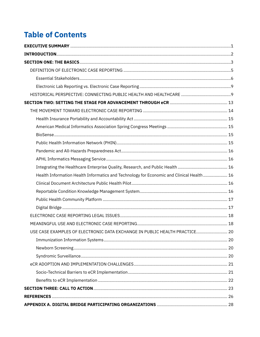## **Table of Contents**

| Health Information Health Informatics and Technology for Economic and Clinical Health  16 |  |
|-------------------------------------------------------------------------------------------|--|
|                                                                                           |  |
|                                                                                           |  |
|                                                                                           |  |
|                                                                                           |  |
|                                                                                           |  |
|                                                                                           |  |
| USE CASE EXAMPLES OF ELECTRONIC DATA EXCHANGE IN PUBLIC HEALTH PRACTICE 20                |  |
|                                                                                           |  |
|                                                                                           |  |
|                                                                                           |  |
|                                                                                           |  |
|                                                                                           |  |
|                                                                                           |  |
|                                                                                           |  |
|                                                                                           |  |
|                                                                                           |  |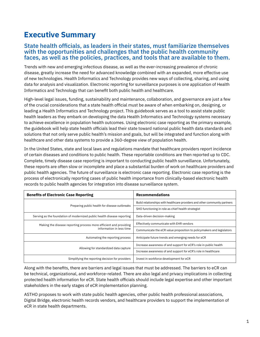## **Executive Summary**

#### State health officials, as leaders in their states, must familiarize themselves with the opportunities and challenges that the public health community faces, as well as the policies, practices, and tools that are available to them.

Trends with new and emerging infectious disease, as well as the ever-increasing prevalence of chronic disease, greatly increase the need for advanced knowledge combined with an expanded, more effective use of new technologies. Health Informatics and Technology provides new ways of collecting, sharing, and using data for analysis and visualization. Electronic reporting for surveillance purposes is one application of Health Informatics and Technology that can benefit both public health and healthcare.

High-level legal issues, funding, sustainability and maintenance, collaboration, and governance are just a few of the crucial considerations that a state health official must be aware of when embarking on, designing, or leading a Health Informatics and Technology project. This guidebook serves as a tool to assist state public health leaders as they embark on developing the data Health Informatics and Technology systems necessary to achieve excellence in population health outcomes. Using electronic case reporting as the primary example, the guidebook will help state health officials lead their state toward national public health data standards and solutions that not only serve public health's mission and goals, but will be integrated and function along with healthcare and other data systems to provide a 360-degree view of population health.

In the United States, state and local laws and regulations mandate that healthcare providers report incidence of certain diseases and conditions to public health. These reportable conditions are then reported up to CDC. Complete, timely disease case reporting is important to conducting public health surveillance. Unfortunately, these reports are often slow or incomplete and place a substantial burden of work on healthcare providers and public health agencies. The future of surveillance is electronic case reporting. Electronic case reporting is the process of electronically reporting cases of public health importance from clinically-based electronic health records to public health agencies for integration into disease surveillance system.

| <b>Benefits of Electronic Case Reporting</b>                                                  | Recommendations                                                            |
|-----------------------------------------------------------------------------------------------|----------------------------------------------------------------------------|
| Preparing public health for disease outbreaks                                                 | Build relationships with healthcare providers and other community partners |
|                                                                                               | SHO functioning in role as chief health strategist                         |
| Serving as the foundation of modernized public health disease reporting                       | Data-driven decision-making                                                |
| Making the disease reporting process more efficient and providing<br>information in less time | Effectively communicate with EHR vendors                                   |
|                                                                                               | Communicate the eCR value proposition to policymakers and legislators      |
| Automating the reporting process                                                              | Anticipate future trends and emerging needs for eCR                        |
| Allowing for standardized data capture                                                        | Increase awareness of and support for eCR's role in public health          |
|                                                                                               | Increase awareness of and support for eCR's role in healthcare             |
| Simplifying the reporting decision for providers                                              | Invest in workforce development for eCR                                    |

Along with the benefits, there are barriers and legal issues that must be addressed. The barriers to eCR can be technical, organizational, and workforce-related. There are also legal and privacy implications in collecting protected health information for eCR. State health officials should include legal expertise and other important stakeholders in the early stages of eCR implementation planning.

ASTHO proposes to work with state public health agencies, other public health professional associations, Digital Bridge, electronic health records vendors, and healthcare providers to support the implementation of eCR in state health departments.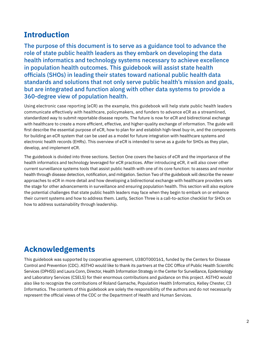## **Introduction**

The purpose of this document is to serve as a guidance tool to advance the role of state public health leaders as they embark on developing the data health informatics and technology systems necessary to achieve excellence in population health outcomes. This guidebook will assist state health officials (SHOs) in leading their states toward national public health data standards and solutions that not only serve public health's mission and goals, but are integrated and function along with other data systems to provide a 360-degree view of population health.

Using electronic case reporting (eCR) as the example, this guidebook will help state public health leaders communicate effectively with healthcare, policymakers, and funders to advance eCR as a streamlined, standardized way to submit reportable disease reports. The future is now for eCR and bidirectional exchange with healthcare to create a more efficient, effective, and higher-quality exchange of information. The guide will first describe the essential purpose of eCR, how to plan for and establish high-level buy-in, and the components for building an eCR system that can be used as a model for future integration with healthcare systems and electronic health records (EHRs). This overview of eCR is intended to serve as a guide for SHOs as they plan, develop, and implement eCR.

The guidebook is divided into three sections. Section One covers the basics of eCR and the importance of the health informatics and technology leveraged for eCR practices. After introducing eCR, it will also cover other current surveillance systems tools that assist public health with one of its core function: to assess and monitor health through disease detection, notification, and mitigation. Section Two of the guidebook will describe the newer approaches to eCR in more detail and how developing a bidirectional exchange with healthcare providers sets the stage for other advancements in surveillance and ensuring population health. This section will also explore the potential challenges that state public health leaders may face when they begin to embark on or enhance their current systems and how to address them. Lastly, Section Three is a call-to-action checklist for SHOs on how to address sustainability through leadership.

## **Acknowledgements**

This guidebook was supported by cooperative agreement, U38OT000161, funded by the Centers for Disease Control and Prevention (CDC). ASTHO would like to thank its partners at the CDC Office of Public Health Scientific Services (OPHSS) and Laura Conn, Director, Health Information Strategy in the Center for Surveillance, Epidemiology and Laboratory Services (CSELS) for their enormous contributions and guidance on this project. ASTHO would also like to recognize the contributions of Roland Gamache, Population Health Informatics, Kelley Chester, C3 Informatics. The contents of this guidebook are solely the responsibility of the authors and do not necessarily represent the official views of the CDC or the Department of Health and Human Services.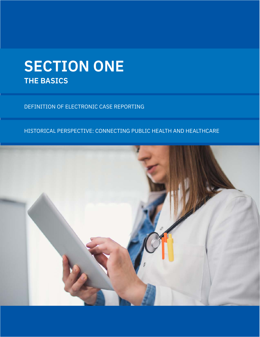## **SECTION ONE THE BASICS**

DEFINITION OF ELECTRONIC CASE REPORTING

### HISTORICAL PERSPECTIVE: CONNECTING PUBLIC HEALTH AND HEALTHCARE

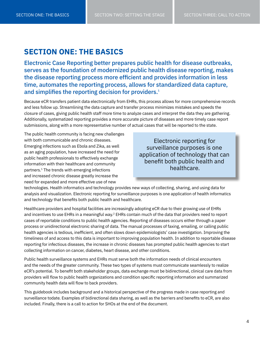## **SECTION ONE: THE BASICS**

Electronic Case Reporting better prepares public health for disease outbreaks, serves as the foundation of modernized public health disease reporting, makes the disease reporting process more efficient and provides information in less time, automates the reporting process, allows for standardized data capture, and simplifies the reporting decision for providers.<sup>1</sup>

Because eCR transfers patient data electronically from EHRs, this process allows for more comprehensive records and less follow up. Streamlining the data capture and transfer process minimizes mistakes and speeds the closure of cases, giving public health staff more time to analyze cases and interpret the data they are gathering. Additionally, systematized reporting provides a more accurate picture of diseases and more timely case report submissions, along with a more representative number of actual cases that will be reported to the state.

The public health community is facing new challenges with both communicable and chronic diseases. Emerging infections such as Ebola and Zika, as well as an aging population, have increased the need for public health professionals to effectively exchange information with their healthcare and community partners.1 The trends with emerging infections and increased chronic disease greatly increase the need for expanded and more effective use of new

Electronic reporting for surveillance purposes is one application of technology that can benefit both public health and healthcare.

technologies. Health informatics and technology provides new ways of collecting, sharing, and using data for analysis and visualization. Electronic reporting for surveillance purposes is one application of health informatics and technology that benefits both public health and healthcare.

Healthcare providers and hospital facilities are increasingly adopting eCR due to their growing use of EHRs and incentives to use EHRs in a meaningful way.<sup>2</sup> EHRs contain much of the data that providers need to report cases of reportable conditions to public health agencies. Reporting of diseases occurs either through a paper process or unidirectional electronic sharing of data. The manual processes of faxing, emailing, or calling public health agencies is tedious, inefficient, and often slows down epidemiologists' case investigation. Improving the timeliness of and access to this data is important to improving population health. In addition to reportable disease reporting for infectious diseases, the increase in chronic diseases has prompted public health agencies to start collecting information on cancer, diabetes, heart disease, and other conditions.

Public health surveillance systems and EHRs must serve both the information needs of clinical encounters and the needs of the greater community. These two types of systems must communicate seamlessly to realize eCR's potential. To benefit both stakeholder groups, data exchange must be bidirectional, clinical care data from providers will flow to public health organizations and condition specific reporting information and summarized community health data will flow to back providers.

This guidebook includes background and a historical perspective of the progress made in case reporting and surveillance todate. Examples of bidirectional data sharing, as well as the barriers and benefits to eCR, are also included. Finally, there is a call to action for SHOs at the end of the document.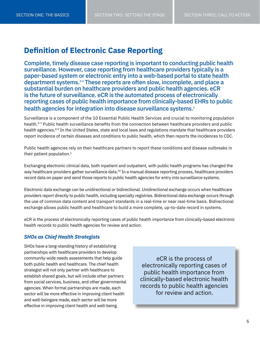## <span id="page-7-0"></span>**Definition of Electronic Case Reporting**

Complete, timely disease case reporting is important to conducting public health surveillance. However, case reporting from healthcare providers typically is a paper-based system or electronic entry into a web-based portal to state health department systems.3-4 These reports are often slow, incomplete, and place a substantial burden on healthcare providers and public health agencies. eCR is the future of surveillance. eCR is the automated process of electronically reporting cases of public health importance from clinically-based EHRs to public health agencies for integration into disease surveillance systems.<sup>1</sup>

Surveillance is a component of the 10 Essential Public Health Services and crucial to monitoring population health.5-7 Public health surveillance benefits from the connection between healthcare providers and public health agencies.<sup>8-9</sup> In the United States, state and local laws and regulations mandate that healthcare providers report incidence of certain diseases and conditions to public health, which then reports the incidences to CDC.

Public health agencies rely on their healthcare partners to report these conditions and disease outbreaks in their patient population. $1$ 

Exchanging electronic clinical data, both inpatient and outpatient, with public health programs has changed the way healthcare providers gather surveillance data.<sup>10</sup> In a manual disease reporting process, healthcare providers record data on paper and send those reports to public health agencies for entry into surveillance systems.

Electronic data exchange can be unidirectional or bidirectional. Unidirectional exchange occurs when healthcare providers report directly to public health, including specialty registries. Bidirectional data exchange occurs through the use of common data content and transport standards in a real-time or near real-time basis. Bidirectional exchange allows public health and healthcare to build a more complete, up-to-date record in systems.

eCR is the process of electronically reporting cases of public health importance from clinically-based electronic health records to public health agencies for review and action.

#### *SHOs as Chief Health Strategists*

SHOs have a long-standing history of establishing partnerships with healthcare providers to develop community-wide needs assessments that help guide both public health and healthcare. The chief health strategist will not only partner with healthcare to establish shared goals, but will include other partners from social services, business, and other governmental agencies. When formal partnerships are made, each sector will be more effective in improving client health and well-beingare made, each sector will be more effective in improving client health and well-being.

eCR is the process of electronically reporting cases of public health importance from clinically-based electronic health records to public health agencies for review and action.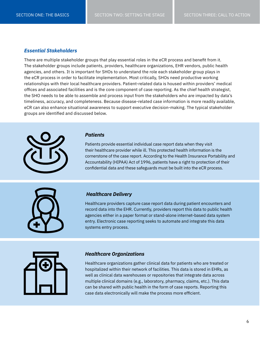#### <span id="page-8-0"></span>*Essential Stakeholders*

There are multiple stakeholder groups that play essential roles in the eCR process and benefit from it. The stakeholder groups include patients, providers, healthcare organizations, EHR vendors, public health agencies, and others. It is important for SHOs to understand the role each stakeholder group plays in the eCR process in order to facilitate implementation. Most critically, SHOs need productive working relationships with their local healthcare providers. Patient-related data is housed within providers' medical offices and associated facilities and is the core component of case reporting. As the chief health strategist, the SHO needs to be able to assemble and process input from the stakeholders who are impacted by data's timeliness, accuracy, and completeness. Because disease-related case information is more readily available, eCR can also enhance situational awareness to support executive decision-making. The typical stakeholder groups are identified and discussed below.



#### *Patients*

Patients provide essential individual case report data when they visit their healthcare provider while ill. This protected health information is the cornerstone of the case report. According to the Health Insurance Portability and Accountability (HIPAA) Act of 1996, patients have a right to protection of their confidential data and these safeguards must be built into the eCR process.



#### *Healthcare Delivery*

Healthcare providers capture case report data during patient encounters and record data into the EHR. Currently, providers report this data to public health agencies either in a paper format or stand-alone internet-based data system entry. Electronic case reporting seeks to automate and integrate this data systems entry process.



#### *Healthcare Organizations*

Healthcare organizations gather clinical data for patients who are treated or hospitalized within their network of facilities. This data is stored in EHRs, as well as clinical data warehouses or repositories that integrate data across multiple clinical domains (e.g., laboratory, pharmacy, claims, etc.). This data can be shared with public health in the form of case reports. Reporting this case data electronically will make the process more efficient.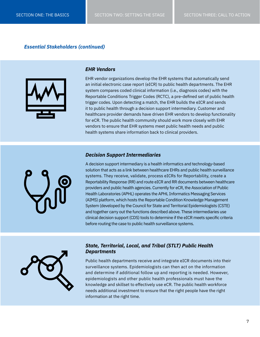#### *Essential Stakeholders (continued)*



#### *EHR Vendors*

EHR vendor organizations develop the EHR systems that automatically send an initial electronic case report (eICR) to public health departments. The EHR system compares coded clinical information (i.e., diagnosis codes) with the Reportable Conditions Trigger Codes (RCTC), a pre-defined set of public health trigger codes. Upon detecting a match, the EHR builds the eICR and sends it to public health through a decision support intermediary. Customer and healthcare provider demands have driven EHR vendors to develop functionality for eCR. The public health community should work more closely with EHR vendors to ensure that EHR systems meet public health needs and public health systems share information back to clinical providers.

#### *Decision Support Intermediaries*



A decision support intermediary is a health informatics and technology-based solution that acts as a link between healthcare EHRs and public health surveillance systems. They receive, validate, process eICRs for Reportability, create a Reportability Response (RR) and route eICR and RR documents between healthcare providers and public health agencies. Currently for eCR, the Association of Public Health Laboratories (APHL) operates the APHL Informatics Messaging Services (AIMS) platform, which hosts the Reportable Condition Knowledge Management System (developed by the Council for State and Territorial Epidemiologists (CSTE) and together carry out the functions described above. These intermediaries use clinical decision support (CDS) tools to determine if the eICR meets specific criteria before routing the case to public health surveillance systems.



#### *State, Territorial, Local, and Tribal (STLT) Public Health Departments*

Public health departments receive and integrate eICR documents into their surveillance systems. Epidemiologists can then act on the information and determine if additional follow up and reporting is needed. However, epidemiologists and other public health professionals must have the knowledge and skillset to effectively use eCR. The public health workforce needs additional investment to ensure that the right people have the right information at the right time.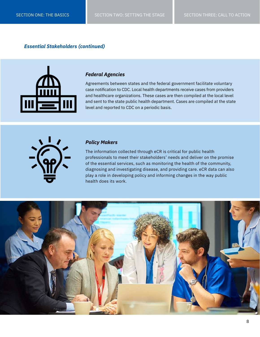#### *Essential Stakeholders (continued)*



#### *Federal Agencies*

Agreements between states and the federal government facilitate voluntary case notification to CDC. Local health departments receive cases from providers and healthcare organizations. These cases are then compiled at the local level and sent to the state public health department. Cases are compiled at the state level and reported to CDC on a periodic basis.



#### *Policy Makers*

The information collected through eCR is critical for public health professionals to meet their stakeholders' needs and deliver on the promise of the essential services, such as monitoring the health of the community, diagnosing and investigating disease, and providing care. eCR data can also play a role in developing policy and informing changes in the way public health does its work.

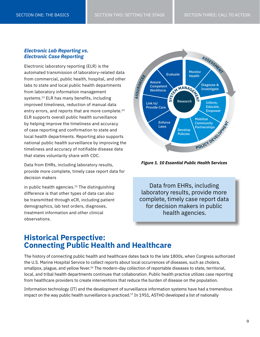#### *Electronic Lab Reporting vs. Electronic Case Reporting*

Electronic laboratory reporting (ELR) is the automated transmission of laboratory-related data from commercial, public health, hospital, and other labs to state and local public health departments from laboratory information management systems.<sup>13</sup> ELR has many benefits, including improved timeliness, reduction of manual data entry errors, and reports that are more complete.<sup>14</sup> ELR supports overall public health surveillance by helping improve the timeliness and accuracy of case reporting and confirmation to state and local health departments. Reporting also supports national public health surveillance by improving the timeliness and accuracy of notifiable disease data that states voluntarily share with CDC.

Data from EHRs, including laboratory results, provide more complete, timely case report data for decision makers

in public health agencies. $15$  The distinguishing difference is that other types of data can also be transmitted through eCR, including patient demographics, lab test orders, diagnoses, treatment information and other clinical observations.



*Figure 1. 10 Essential Public Health Services*

Data from EHRs, including laboratory results, provide more complete, timely case report data for decision makers in public health agencies.

## **Historical Perspective: Connecting Public Health and Healthcare**

The history of connecting public health and healthcare dates back to the late 1800s, when Congress authorized the U.S. Marine Hospital Service to collect reports about local occurrences of diseases, such as cholera, smallpox, plague, and yellow fever.<sup>16</sup> The modern-day collection of reportable diseases to state, territorial, local, and tribal health departments continues that collaboration. Public health practice utilizes case reporting from healthcare providers to create interventions that reduce the burden of disease on the population.

Information technology (IT) and the development of surveillance information systems have had a tremendous impact on the way public health surveillance is practiced.<sup>17</sup> In 1951, ASTHO developed a list of nationally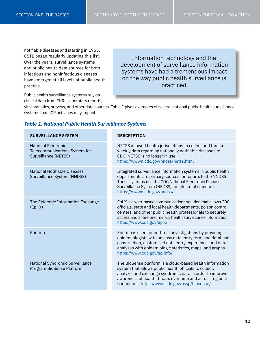notifiable diseases and starting in 1955, CSTE began regularly updating this list. Over the years, surveillance systems and public health data sources for both infectious and noninfectious diseases have emerged at all levels of public health practice.

Public health surveillance systems rely on clinical data from EHRs, laboratory reports,

Information technology and the development of surveillance information systems have had a tremendous impact on the way public health surveillance is practiced.

vital statistics, surveys, and other data sources. Table 1 gives examples of several national public health surveillance systems that eCR activities may impact

| <b>SURVEILLANCE SYSTEM</b>                                                          | <b>DESCRIPTION</b>                                                                                                                                                                                                                                                                            |
|-------------------------------------------------------------------------------------|-----------------------------------------------------------------------------------------------------------------------------------------------------------------------------------------------------------------------------------------------------------------------------------------------|
| <b>National Electronic</b><br>Telecommunications System for<br>Surveillance (NETSS) | NETSS allowed health jurisdictions to collect and transmit<br>weekly data regarding nationally notifiable diseases to<br>CDC. NETSS is no longer in use.<br>https://wwwn.cdc.gov/nndss/netss.html                                                                                             |
| <b>National Notifiable Diseases</b><br>Surveillance System (NNDSS)                  | Integrated surveillance information systems in public health<br>departments are primary sources for reports to the NNDSS.<br>These systems use the CDC National Electronic Disease<br>Surveillance System (NEDSS) architectural standard.<br>https://wwwn.cdc.gov/nndss/                      |
| The Epidemic Information Exchange<br>$(Epi-X)$                                      | Epi-X is a web-based communications solution that allows CDC<br>officials, state and local health departments, poison control<br>centers, and other public health professionals to securely<br>access and share preliminary health surveillance information.<br>https://www.cdc.gov/epix/     |
| Epi Info                                                                            | Epi Info is used for outbreak investigations by providing<br>epidemiologists with an easy data entry form and database<br>construction, customized data entry experience, and data<br>analyses with epidemiologic statistics, maps, and graphs.<br>https://www.cdc.gov/epiinfo/               |
| National Syndromic Surveillance<br>Program BioSense Platform                        | The BioSense platform is a cloud-based health information<br>system that allows public health officials to collect,<br>analyze, and exchange syndromic data in order to improve<br>awareness of health threats over time and across regional<br>boundaries.https://www.cdc.gov/nssp/biosense/ |

#### *Table 1. National Public Health Surveillance Systems*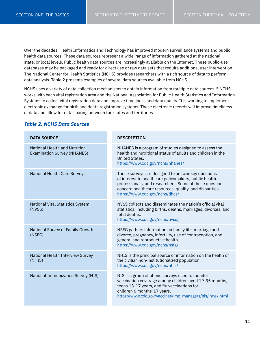Over the decades, Health Informatics and Technology has improved modern surveillance systems and public health data sources. These data sources represent a wide-range of information gathered at the national, state, or local levels. Public health data sources are increasingly available on the Internet. These public-use databases may be packaged and ready for direct use or raw data sets that require additional user intervention. The National Center for Health Statistics (NCHS) provides researchers with a rich source of data to perform data analysis. Table 2 presents examples of several data sources available from NCHS.

NCHS uses a variety of data collection mechanisms to obtain information from multiple data sources.18 NCHS works with each vital registration area and the National Association for Public Health Statistics and Information Systems to collect vital registration data and improve timeliness and data quality. It is working to implement electronic exchange for birth and death registration systems. These electronic records will improve timeliness of data and allow for data sharing between the states and territories.

#### **DATA SOURCE** National Health and Nutrition Examination Survey (NHANES) National Health Care Surveys National Vital Statistics System (NVSS) National Survey of Family Growth (NSFG) National Health Interview Survey (NHIS) National Immunization Survey (NIS) **DESCRIPTION** NHANES is a program of studies designed to assess the health and nutritional status of adults and children in the United States. https://www.cdc.gov/nchs/nhanes/ These surveys are designed to answer key questions of interest to healthcare policymakers, public health professionals, and researchers. Some of these questions concern healthcare resources, quality, and disparities. https://www.cdc.gov/nchs/dhcs/ NVSS collects and disseminates the nation's official vital statistics, including births, deaths, marriages, divorces, and fetal deaths. https://www.cdc.gov/nchs/nvss/ NSFG gathers information on family life, marriage and divorce, pregnancy, infertility, use of contraception, and general and reproductive health. https://www.cdc.gov/nchs/nsfg/ NHIS is the principal source of information on the health of the civilian non-institutionalized population. https://www.cdc.gov/nchs/nhis/ NIS is a group of phone surveys used to monitor vaccination coverage among children aged 19-35 months, teens 13-17 years, and flu vaccinations for children 6 months-17 years. https://www.cdc.gov/vaccines/imz- managers/nis/index.html

#### *Table 2. NCHS Data Sources*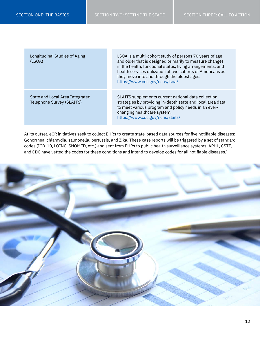| Longitudinal Studies of Aging<br>(LSOA)                      | LSOA is a multi-cohort study of persons 70 years of age<br>and older that is designed primarily to measure changes<br>in the health, functional status, living arrangements, and<br>health services utilization of two cohorts of Americans as<br>they move into and through the oldest ages.<br>https://www.cdc.gov/nchs/lsoa/ |
|--------------------------------------------------------------|---------------------------------------------------------------------------------------------------------------------------------------------------------------------------------------------------------------------------------------------------------------------------------------------------------------------------------|
| State and Local Area Integrated<br>Telephone Survey (SLAITS) | SLAITS supplements current national data collection<br>strategies by providing in-depth state and local area data<br>to meet various program and policy needs in an ever-<br>changing healthcare system.<br>https://www.cdc.gov/nchs/slaits/                                                                                    |

At its outset, eCR initiatives seek to collect EHRs to create state-based data sources for five notifiable diseases: Gonorrhea, chlamydia, salmonella, pertussis, and Zika. These case reports will be triggered by a set of standard codes (ICD-10, LOINC, SNOMED, etc.) and sent from EHRs to public health surveillance systems. APHL, CSTE, and CDC have vetted the codes for these conditions and intend to develop codes for all notifiable diseases.<sup>1</sup>

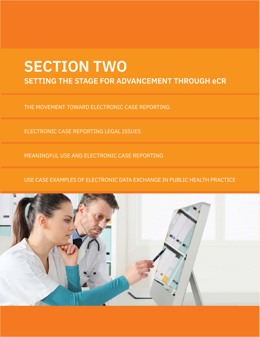## **SECTION TWO SETTING THE STAGE FOR ADVANCEMENT THROUGH eCR**

THE MOVEMENT TOWARD ELECTRONIC CASE REPORTING

ELECTRONIC CASE REPORTING LEGAL ISSUES

MEANINGFUL USE AND ELECTRONIC CASE REPORTING

USE CASE EXAMPLES OF ELECTRONIC DATA EXCHANGE IN PUBLIC HEALTH PRACTICE

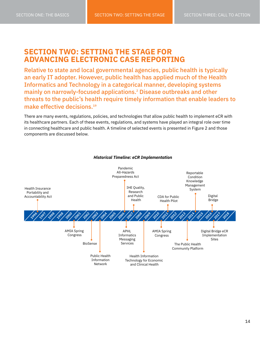### **SECTION TWO: SETTING THE STAGE FOR ADVANCING ELECTRONIC CASE REPORTING**

Relative to state and local governmental agencies, public health is typically an early IT adopter. However, public health has applied much of the Health Informatics and Technology in a categorical manner, developing systems mainly on narrowly-focused applications.2 Disease outbreaks and other threats to the public's health require timely information that enable leaders to make effective decisions.<sup>19</sup>

There are many events, regulations, policies, and technologies that allow public health to implement eCR with its healthcare partners. Each of these events, regulations, and systems have played an integral role over time in connecting healthcare and public health. A timeline of selected events is presented in Figure 2 and those components are discussed below.



#### *Historical Timeline: eCR Implementation*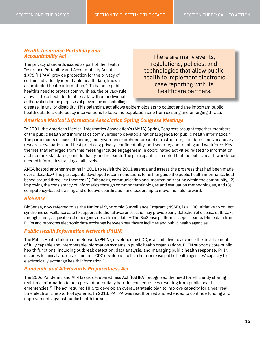#### *Health Insurance Portability and Accountability Act*

The privacy standards issued as part of the Health Insurance Portability and Accountability Act of 1996 (HIPAA) provide protection for the privacy of certain individually identifiable health data, known as protected health information.<sup>20</sup> To balance public health's need to protect communities, the privacy rule allows it to collect identifiable data without individual authorization for the purposes of preventing or controlling

There are many events, regulations, policies, and technologies that allow public health to implement electronic case reporting with its healthcare partners.

disease, injury, or disability. This balancing act allows epidemiologists to collect and use important public health data to create policy interventions to keep the population safe from existing and emerging threats

#### *American Medical Informatics Association Spring Congress Meetings*

In 2001, the American Medical Informatics Association's (AMIA) Spring Congress brought together members of the public health and informatics communities to develop a national agenda for public health informatics.2 The participants discussed funding and governance; architecture and infrastructure; standards and vocabulary; research, evaluation, and best practices; privacy, confidentiality, and security; and training and workforce. Key themes that emerged from this meeting include engagement in coordinated activities related to information architecture, standards, confidentiality, and research. The participants also noted that the public health workforce needed informatics training at all levels.

AMIA hosted another meeting in 2011 to revisit the 2001 agenda and assess the progress that had been made over a decade.21 The participants developed recommendations to further guide the public health informatics field based around three key themes: (1) Enhancing communication and information sharing within the community, (2) improving the consistency of informatics through common terminologies and evaluation methodologies, and (3) competency-based training and effective coordination and leadership to move the field forward.

#### *BioSense*

BioSense, now referred to as the National Syndromic Surveillance Program (NSSP), is a CDC initiative to collect syndromic surveillance data to support situational awareness and may provide early detection of disease outbreaks through timely acquisition of emergency department data.<sup>22</sup> The BioSense platform accepts near real-time data from EHRs and promotes electronic data exchange between healthcare facilities and public health agencies.

#### *Public Health Information Network (PHIN)*

The Public Health Information Network (PHIN), developed by CDC, is an initiative to advance the development of fully capable and interoperable information systems in public health organizations. PHIN supports core public health functions, including outbreak detection, data analysis, and managing public health response. PHIN includes technical and data standards. CDC developed tools to help increase public health agencies' capacity to electronically exchange health information.23

#### *Pandemic and All-Hazards Preparedness Act*

The 2006 Pandemic and All-Hazards Preparedness Act (PAHPA) recognized the need for efficiently sharing real-time information to help prevent potentially harmful consequences resulting from public health emergencies.19 The act required HHS to develop an overall strategic plan to improve capacity for a near realtime electronic network of systems. In 2013, PAHPA was reauthorized and extended to continue funding and improvements against public health threats.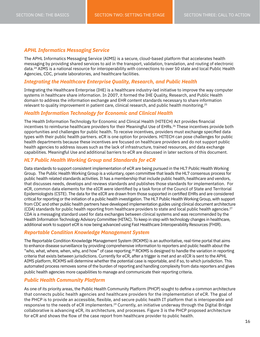#### *APHL Informatics Messaging Service*

The APHL Informatics Messaging Service (AIMS) is a secure, cloud-based platform that accelerates health messaging by providing shared services to aid in the transport, validation, translation, and routing of electronic data.24 AIMS is a national resource for interoperability with connections to over 50 state and local Public Health Agencies, CDC, private laboratories, and healthcare facilities.

#### *Integrating the Healthcare Enterprise Quality, Research, and Public Health*

Integrating the Healthcare Enterprise (IHE) is a healthcare industry-led initiative to improve the way computer systems in healthcare share information. In 2007, it formed the IHE Quality, Research, and Public Health domain to address the information exchange and EHR content standards necessary to share information relevant to quality improvement in patient care, clinical research, and public health monitoring.<sup>25</sup>

#### *Health Information Technology for Economic and Clinical Health*

The Health Information Technology for Economic and Clinical Health (HITECH) Act provides financial incentives to reimburse healthcare providers for their Meaningful Use of EHRs.<sup>26</sup> These incentives provide both opportunities and challenges for public health. To receive incentives, providers must exchange specified data types with their public health partners. eCR is one option for providers. HITECH can pose challenges for public health departments because these incentives are focused on healthcare providers and do not support public health agencies to address issues such as the lack of infrastructure, trained resources, and data exchange capabilities. Meaningful Use and additional barriers to eCR are discussed in later sections of this document.

#### *HL7 Public Health Working Group and Standards for eCR*

Data standards to support consistent implementation of eCR are being pursued in the HL7 Public Health Working Group. The Public Health Working Group is a voluntary, open committee that leads the HL7 consensus process for public health related standards activities. It has a membership that include public health, healthcare and vendors, that discusses needs, develops and reviews standards and publishes those standards for implementation. For eCR, common data elements for the eICR were identified by a task force of the Council of State and Territorial Epidemiologists (CSTE). The data for the eICR are drawn from those supported in certified EHRs and are considered critical for reporting or the initiation of a public health investigation. The HL7 Public Health Working Group, with support from CDC and other public health partners have developed implementation guides using clinical document architecture  $(CDA)$  standards for public health reporting from healthcare providers to state and local public health agencies.<sup>27</sup> CDA is a messaging standard used for data exchanges between clinical systems and was recommended by the Health Information Technology Advisory Committee (HITAC). To keep in step with technology changes in healthcare, additional work to support eCR is now being advanced using Fast Healthcare Interoperability Resources (FHIR).

#### *Reportable Condition Knowledge Management System*

The Reportable Condition Knowledge Management System (RCKMS) is an authoritative, real-time portal that aims to enhance disease surveillance by providing comprehensive information to reporters and public health about the "who, what, where, when, why, and how" of case reporting.<sup>28</sup> RCKMS is designed to handle the variation in reporting criteria that exists between jurisdictions. Currently for eCR, after a trigger is met and an eICR is sent to the APHL AIMS platform, RCKMS will determine whether the potential case is reportable, and if so, to which jurisdiction. This automated process removes some of the burden of reporting and handling complexity from data reporters and gives public health agencies more capabilities to manage and communicate their reporting criteria.

#### *Public Health Community Platform*

As one of its priority areas, the Public Health Community Platform (PHCP) sought to define a common architecture that connects public health agencies and healthcare providers for the implementation of eCR. The goal of the PHCP is to provide an accessible, flexible, and secure public health IT platform that is interoperable and responsive to the needs of eCR implementers.<sup>29</sup> Currently, an initiative underway through the Digital Bridge collaborative is advancing eCR, its architecture, and processes. Figure 3 is the PHCP proposed architecture for eCR and shows the flow of the case report from healthcare provider to public health.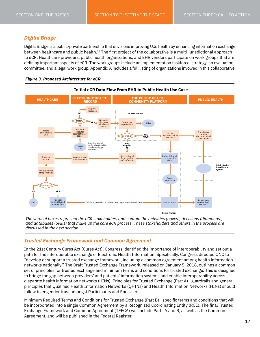#### *Digital Bridge*

Digital Bridge is a public-private partnership that envisions improving U.S. health by enhancing information exchange between healthcare and public health.<sup>30</sup> The first project of the collaborative is a multi-jurisdictional approach to eCR. Healthcare providers, public health organizations, and EHR vendors participate on work groups that are defining important aspects of eCR. The work groups include an implementation taskforce, strategy, an evaluation committee, and a legal work group. Appendix A includes a full listing of organizations involved in this collaborative





*The vertical boxes represent the eCR stakeholders and contain the activities (boxes), decisions (diamonds), and databases (ovals) that make up the core eCR process. These stakeholders and others in the process are discussed in the next section.*

#### *Trusted Exchange Framework and Common Agreement*

In the 21st Century Cures Act (Cures Act), Congress identified the importance of interoperability and set out a path for the interoperable exchange of Electronic Health Information. Specifically, Congress directed ONC to "develop or support a trusted exchange framework, including a common agreement among health information networks nationally." The Draft Trusted Exchange Framework, released on January 5, 2018, outlines a common set of principles for trusted exchange and minimum terms and conditions for trusted exchange. This is designed to bridge the gap between providers' and patients' information systems and enable interoperability across disparate health information networks (HINs). Principles for Trusted Exchange (Part A)—guardrails and general principles that Qualified Health Information Networks (QHINs) and Health Information Networks (HINs) should follow to engender trust amongst Participants and End Users.

Minimum Required Terms and Conditions for Trusted Exchange (Part B)—specific terms and conditions that will be incorporated into a single Common Agreement by a Recognized Coordinating Entity (RCE). The final Trusted Exchange Framework and Common Agreement (TEFCA) will include Parts A and B, as well as the Common Agreement, and will be published in the Federal Register.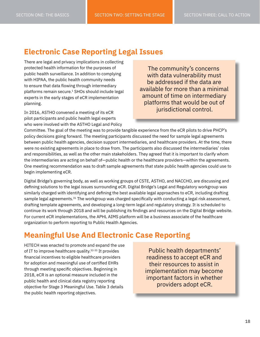## **Electronic Case Reporting Legal Issues**

There are legal and privacy implications in collecting protected health information for the purposes of public health surveillance. In addition to complying with HIPAA, the public health community needs to ensure that data flowing through intermediary platforms remain secure.<sup>1</sup> SHOs should include legal experts in the early stages of eCR implementation planning.

In 2016, ASTHO convened a meeting of its eCR pilot participants and public health legal experts who were involved with the ASTHO Legal and Policy

The community's concerns with data vulnerability must be addressed if the data are available for more than a minimal amount of time on intermediary platforms that would be out of jurisdictional control.

Committee. The goal of the meeting was to provide tangible experience from the eCR pilots to drive PHCP's policy decisions going forward. The meeting participants discussed the need for sample legal agreements between public health agencies, decision support intermediaries, and healthcare providers. At the time, there were no existing agreements in place to draw from. The participants also discussed the intermediaries' roles and responsibilities, as well as the other main stakeholders. They agreed that it is important to clarify whom the intermediaries are acting on behalf of—public health or the healthcare providers—within the agreements. One meeting recommendation was to draft sample agreements that state public health agencies could use to begin implementing eCR.

Digital Bridge's governing body, as well as working groups of CSTE, ASTHO, and NACCHO, are discussing and defining solutions to the legal issues surrounding eCR. Digital Bridge's Legal and Regulatory workgroup was similarly charged with identifying and defining the best available legal approaches to eCR, including drafting sample legal agreements.<sup>31</sup> The workgroup was charged specifically with conducting a legal risk assessment, drafting template agreements, and developing a long-term legal and regulatory strategy. It is scheduled to continue its work through 2018 and will be publishing its findings and resources on the Digital Bridge website. For current eCR implementations, the APHL AIMS platform will be a business associate of the healthcare organization to perform reporting to Public Health Agencies.

## **Meaningful Use And Electronic Case Reporting**

HITECH was enacted to promote and expand the use of IT to improve healthcare quality. $32-33$  It provides financial incentives to eligible healthcare providers for adoption and meaningful use of certified EHRs through meeting specific objectives. Beginning in 2018, eCR is an optional measure included in the public health and clinical data registry reporting objective for Stage 3 Meaningful Use. Table 3 details the public health reporting objectives.

Public health departments' readiness to accept eCR and their resources to assist in implementation may become important factors in whether providers adopt eCR.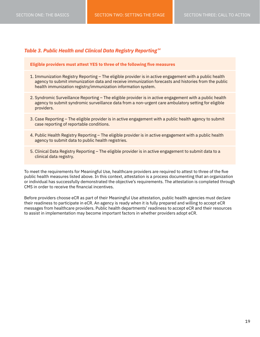#### *Table 3. Public Health and Clinical Data Registry Reporting <sup>34</sup>*

#### **Eligible providers must attest YES to three of the following five measures**

- 1. Immunization Registry Reporting The eligible provider is in active engagement with a public health agency to submit immunization data and receive immunization forecasts and histories from the public health immunization registry/immunization information system.
- 2. Syndromic Surveillance Reporting The eligible provider is in active engagement with a public health agency to submit syndromic surveillance data from a non-urgent care ambulatory setting for eligible providers.
- 3. Case Reporting The eligible provider is in active engagement with a public health agency to submit case reporting of reportable conditions.
- 4. Public Health Registry Reporting The eligible provider is in active engagement with a public health agency to submit data to public health registries.
- 5. Clinical Data Registry Reporting The eligible provider is in active engagement to submit data to a clinical data registry.

To meet the requirements for Meaningful Use, healthcare providers are required to attest to three of the five public health measures listed above. In this context, attestation is a process documenting that an organization or individual has successfully demonstrated the objective's requirements. The attestation is completed through CMS in order to receive the financial incentives.

Before providers choose eCR as part of their Meaningful Use attestation, public health agencies must declare their readiness to participate in eCR. An agency is ready when it is fully prepared and willing to accept eCR messages from healthcare providers. Public health departments' readiness to accept eCR and their resources to assist in implementation may become important factors in whether providers adopt eCR.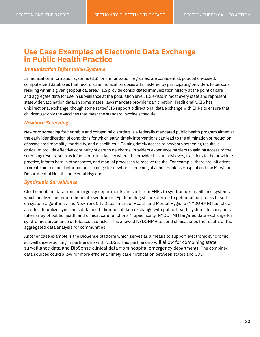## <span id="page-22-0"></span>**Use Case Examples of Electronic Data Exchange in Public Health Practice**

#### *Immunization Information Systems*

Immunization information systems (IIS), or immunization registries, are confidential, population-based, computerized databases that record all immunization doses administered by participating providers to persons residing within a given geopolitical area.<sup>35</sup> IIS provide consolidated immunization history at the point of care and aggregate data for use in surveillance at the population level. IIS exists in most every state and represent statewide vaccination data. In some states, laws mandate provider participation. Traditionally, IIS has unidirectional exchange, though some states' IIS support bidirectional data exchange with EHRs to ensure that children get only the vaccines that meet the standard vaccine schedule.<sup>10</sup>

#### *Newborn Screening*

Newborn screening for heritable and congenital disorders is a federally mandated public health program aimed at the early identification of conditions for which early, timely interventions can lead to the elimination or reduction of associated mortality, morbidity, and disabilities.<sup>36</sup> Gaining timely access to newborn screening results is critical to provide effective continuity of care to newborns. Providers experience barriers to gaining access to the screening results, such as infants born in a facility where the provider has no privileges, transfers to the provider's practice, infants born in other states, and manual processes to receive results. For example, there are initiatives to create bidirectional information exchange for newborn screening at Johns Hopkins Hospital and the Maryland Department of Health and Mental Hygiene.

#### *Syndromic Surveillance*

Chief complaint data from emergency departments are sent from EHRs to syndromic surveillance systems, which analyze and group them into syndromes. Epidemiologists are alerted to potential outbreaks based on system algorithms. The New York City Department of Health and Mental Hygiene (NYDOHMH) launched an effort to utilize syndromic data and bidirectional data exchange with public health systems to carry out a fuller array of public health and clinical care functions.<sup>37</sup> Specifically, NYDOHMH targeted data exchange for syndromic surveillance of tobacco use risks. This allowed NYDOHMH to send clinical sites the results of the aggregated data analysis for communities.

Another case example is the BioSense platform which serves as a means to support electronic syndromic surveillance reporting in partnership with NEDSS. This partnership will allow for combining state surveillance data and BioSense clinical data from hospital emergency departments. The combined data sources could allow for more efficient, timely case notification between states and CDC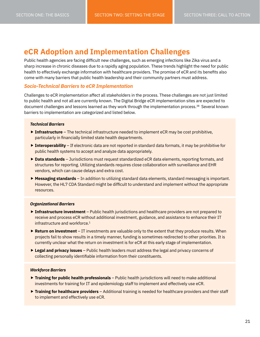### **eCR Adoption and Implementation Challenges**

Public health agencies are facing difficult new challenges, such as emerging infections like Zika virus and a sharp increase in chronic diseases due to a rapidly aging population. These trends highlight the need for public health to effectively exchange information with healthcare providers. The promise of eCR and its benefits also come with many barriers that public health leadership and their community partners must address.

#### *Socio-Technical Barriers to eCR Implementation*

Challenges to eCR implementation affect all stakeholders in the process. These challenges are not just limited to public health and not all are currently known. The Digital Bridge eCR implementation sites are expected to document challenges and lessons learned as they work through the implementation process.38 Several known barriers to implementation are categorized and listed below.

#### *Technical Barriers*

- **► Infrastructure** The technical infrastructure needed to implement eCR may be cost prohibitive, particularly in financially limited state health departments.
- **► Interoperability** If electronic data are not reported in standard data formats, it may be prohibitive for public health systems to accept and analyze data appropriately.
- ▶ Data standards Jurisdictions must request standardized eCR data elements, reporting formats, and structures for reporting. Utilizing standards requires close collaboration with surveillance and EHR vendors, which can cause delays and extra cost.
- **Messaging standards** In addition to utilizing standard data elements, standard messaging is important. However, the HL7 CDA Standard might be difficult to understand and implement without the appropriate resources.

#### *Organizational Barriers*

- **► Infrastructure investment** Public health jurisdictions and healthcare providers are not prepared to receive and process eCR without additional investment, guidance, and assistance to enhance their IT infrastructure and workforce.<sup>1</sup>
- ▶ Return on investment IT investments are valuable only to the extent that they produce results. When projects fail to show results in a timely manner, funding is sometimes redirected to other priorities. It is currently unclear what the return on investment is for eCR at this early stage of implementation.
- **Legal and privacy issues** Public health leaders must address the legal and privacy concerns of collecting personally identifiable information from their constituents.

#### *Workforce Barriers*

- **► Training for public health professionals** Public health jurisdictions will need to make additional investments for training for IT and epidemiology staff to implement and effectively use eCR.
- ▶ Training for healthcare providers Additional training is needed for healthcare providers and their staff to implement and effectively use eCR.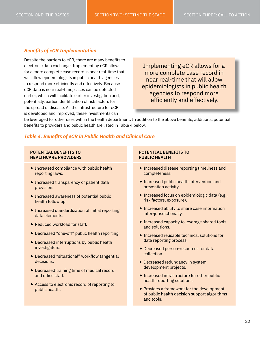#### <span id="page-24-0"></span>*Benefits of eCR Implementation*

Despite the barriers to eCR, there are many benefits to electronic data exchange. Implementing eCR allows for a more complete case record in near real-time that will allow epidemiologists in public health agencies to respond more efficiently and effectively. Because eCR data is near real-time, cases can be detected earlier, which will facilitate earlier investigation and, potentially, earlier identification of risk factors for the spread of disease. As the infrastructure for eCR is developed and improved, these investments can

Implementing eCR allows for a more complete case record in near real-time that will allow epidemiologists in public health agencies to respond more efficiently and effectively.

be leveraged for other uses within the health department. In addition to the above benefits, additional potential benefits to providers and public health are listed in Table 4 below.

#### *Table 4. Benefits of eCR in Public Health and Clinical Care*

#### **POTENTIAL BENEFITS TO HEALTHCARE PROVIDERS**

- **Increased compliance with public health** reporting laws.
- **Increased transparency of patient data** provision.
- Increased awareness of potential public health follow up.
- Increased standardization of initial reporting data elements.
- ▶ Reduced workload for staff.
- Decreased "one-off" public health reporting.
- ▶ Decreased interruptions by public health investigators.
- ▶ Decreased "situational" workflow tangential decisions.
- ▶ Decreased training time of medical record and office staff.
- Access to electronic record of reporting to public health.

#### **POTENTIAL BENEFITS TO PUBLIC HEALTH**

- **Increased disease reporting timeliness and** completeness.
- ▶ Increased public health intervention and prevention activity.
- ▶ Increased focus on epidemiologic data (e.g., risk factors, exposure).
- ▶ Increased ability to share case information inter-jurisdictionally.
- ▶ Increased capacity to leverage shared tools and solutions.
- $\blacktriangleright$  Increased reusable technical solutions for data reporting process.
- Decreased person-resources for data collection.
- Decreased redundancy in system development projects.
- ▶ Increased infrastructure for other public health reporting solutions.
- ▶ Provides a framework for the development of public health decision support algorithms and tools.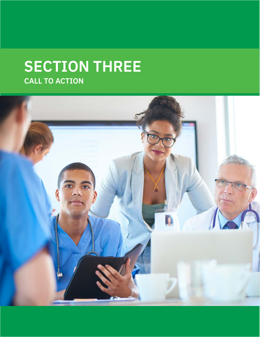## **SECTION THREE CALL TO ACTION**

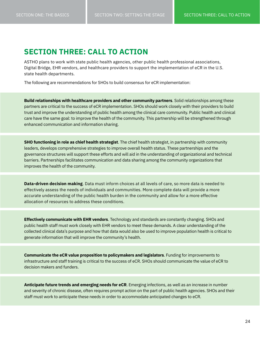### <span id="page-26-0"></span>**SECTION THREE: CALL TO ACTION**

ASTHO plans to work with state public health agencies, other public health professional associations, Digital Bridge, EHR vendors, and healthcare providers to support the implementation of eCR in the U.S. state health departments.

The following are recommendations for SHOs to build consensus for eCR implementation:

**Build relationships with healthcare providers and other community partners**. Solid relationships among these partners are critical to the success of eCR implementation. SHOs should work closely with their providers to build trust and improve the understanding of public health among the clinical care community. Public health and clinical care have the same goal: to improve the health of the community. This partnership will be strengthened through enhanced communication and information sharing.

**SHO functioning in role as chief health strategist**. The chief health strategist, in partnership with community leaders, develops comprehensive strategies to improve overall health status. These partnerships and the governance structures will support these efforts and will aid in the understanding of organizational and technical barriers. Partnerships facilitates communication and data sharing among the community organizations that improves the health of the community.

**Data-driven decision making**. Data must inform choices at all levels of care, so more data is needed to effectively assess the needs of individuals and communities. More complete data will provide a more accurate understanding of the public health burden in the community and allow for a more effective allocation of resources to address these conditions.

**Effectively communicate with EHR vendors**. Technology and standards are constantly changing. SHOs and public health staff must work closely with EHR vendors to meet these demands. A clear understanding of the collected clinical data's purpose and how that data would also be used to improve population health is critical to generate information that will improve the community's health.

**Communicate the eCR value proposition to policymakers and legislators**. Funding for improvements to infrastructure and staff training is critical to the success of eCR. SHOs should communicate the value of eCR to decision makers and funders.

**Anticipate future trends and emerging needs for eCR**. Emerging infections, as well as an increase in number and severity of chronic disease, often requires prompt action on the part of public health agencies. SHOs and their staff must work to anticipate these needs in order to accommodate anticipated changes to eCR.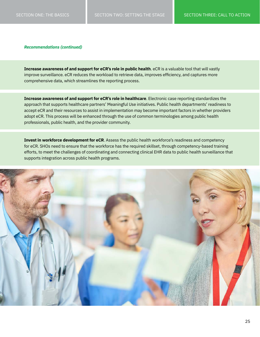*Recommendations (continued)*

**Increase awareness of and support for eCR's role in public health**. eCR is a valuable tool that will vastly improve surveillance. eCR reduces the workload to retrieve data, improves efficiency, and captures more comprehensive data, which streamlines the reporting process.

**Increase awareness of and support for eCR's role in healthcare**. Electronic case reporting standardizes the approach that supports healthcare partners' Meaningful Use initiatives. Public health departments' readiness to accept eCR and their resources to assist in implementation may become important factors in whether providers adopt eCR. This process will be enhanced through the use of common terminologies among public health professionals, public health, and the provider community.

**Invest in workforce development for eCR**. Assess the public health workforce's readiness and competency for eCR. SHOs need to ensure that the workforce has the required skillset, through competency-based training efforts, to meet the challenges of coordinating and connecting clinical EHR data to public health surveillance that supports integration across public health programs.

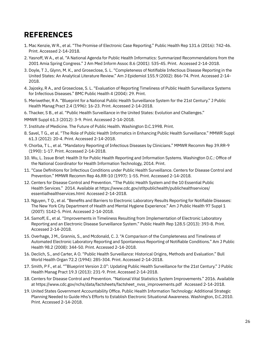## **REFERENCES**

- 1. Mac Kenzie, W R., et al. "The Promise of Electronic Case Reporting." Public Health Rep 131.6 (2016): 742-46. Print. Accessed 2-14-2018.
- 2. Yasnoff, W A., et al. "A National Agenda for Public Health Informatics: Summarized Recommendations from the 2001 Amia Spring Congress." J Am Med Inform Assoc 8.6 (2001): 535-45. Print. Accessed 2-14-2018.
- 3. Doyle, T J., Glynn, M. K., and Groseclose, S. L. "Completeness of Notifiable Infectious Disease Reporting in the United States: An Analytical Literature Review." Am J Epidemiol 155.9 (2002): 866-74. Print. Accessed 2-14- 2018.
- 4. Jajosky, R A., and Groseclose, S. L. "Evaluation of Reporting Timeliness of Public Health Surveillance Systems for Infectious Diseases." BMC Public Health 4 (2004): 29. Print.
- 5. Meriwether, R A. "Blueprint for a National Public Health Surveillance System for the 21st Century." J Public Health Manag Pract 2.4 (1996): 16-23. Print. Accessed 2-14-2018.
- 6. Thacker, S B., et al. "Public Health Surveillance in the United States: Evolution and Challenges."
- MMWR Suppl 61.3 (2012): 3-9. Print. Accessed 2-14-2018.
- 7. Institute of Medicine. The Future of Public Health. Washington D.C.1998. Print.
- 8. Savel, T G., et al. "The Role of Public Health Informatics in Enhancing Public Health Surveillance." MMWR Suppl 61.3 (2012): 20-4. Print. Accessed 2-14-2018.
- 9. Chorba, T L., et al. "Mandatory Reporting of Infectious Diseases by Clinicians." MMWR Recomm Rep 39.RR-9 (1990): 1-17. Print. Accessed 2-14-2018.
- 10. Wu, L. Issue Brief: Health It for Public Health Reporting and Information Systems. Washington D.C.: Office of the National Coordinator for Health Information Technology, 2014. Print.
- 11. "Case Definitions for Infectious Conditions under Public Health Surveillance. Centers for Disease Control and Prevention." MMWR Recomm Rep 46.RR-10 (1997): 1-55. Print. Accessed 2-14-2018.
- 12. Centers for Disease Control and Prevention. "The Public Health System and the 10 Essential Public Health Services." 2014. Available at https://www.cdc.gov/stltpublichealth/publichealthservices/ essentialhealthservices.html Accessed 2-14-2018.
- 13. Nguyen, T Q., et al. "Benefits and Barriers to Electronic Laboratory Results Reporting for Notifiable Diseases: The New York City Department of Health and Mental Hygiene Experience." Am J Public Health 97 Suppl 1 (2007): S142-5. Print. Accessed 2-14-2018.
- 14. Samoff, E., et al. "Improvements in Timeliness Resulting from Implementation of Electronic Laboratory Reporting and an Electronic Disease Surveillance System." Public Health Rep 128.5 (2013): 393-8. Print. Accessed 2-14-2018.
- 15. Overhage, J M., Grannis, S., and Mcdonald, C. J. "A Comparison of the Completeness and Timeliness of Automated Electronic Laboratory Reporting and Spontaneous Reporting of Notifiable Conditions." Am J Public Health 98.2 (2008): 344-50. Print. Accessed 2-14-2018.
- 16. Declich, S., and Carter, A O. "Public Health Surveillance: Historical Origins, Methods and Evaluation." Bull World Health Organ 72.2 (1994): 285-304. Print. Accessed 2-14-2018.
- 17. Smith, P F., et al. ""Blueprint Version 2.0": Updating Public Health Surveillance for the 21st Century." J Public Health Manag Pract 19.3 (2013): 231-9. Print. Accessed 2-14-2018.
- 18. Centers for Disease Control and Prevention. "National Vital Statistics System Improvements." 2016. Available at https://www.cdc.gov/nchs/data/factsheets/factsheet\_nvss\_improvements.pdf Accessed 2-14-2018.
- 19. United States Government Accountability Office. Public Health Information Technology: Additional Strategic Planning Needed to Guide Hhs's Efforts to Establish Electronic Situational Awareness. Washington, D.C.2010. Print. Accessed 2-14-2018.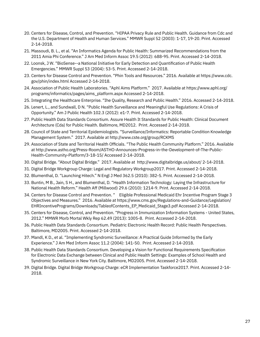- 20. Centers for Disease, Control, and Prevention. "HIPAA Privacy Rule and Public Health. Guidance from Cdc and the U.S. Department of Health and Human Services." MMWR Suppl 52 (2003): 1-17, 19-20. Print. Accessed 2-14-2018.
- 21. Massoudi, B. L., et al. "An Informatics Agenda for Public Health: Summarized Recommendations from the 2011 Amia Phi Conference." J Am Med Inform Assoc 19.5 (2012): 688-95. Print. Accessed 2-14-2018.
- 22. Loonsk, J W. "BioSense--a National Initiative for Early Detection and Quantification of Public Health Emergencies." MMWR Suppl 53 (2004): 53-5. Print. Accessed 2-14-2018.
- 23. Centers for Disease Control and Prevention. "Phin Tools and Resources." 2016. Available at https://www.cdc. gov/phin/index.html Accessed 2-14-2018.
- 24. Association of Public Health Laboratories. "Aphl Aims Platform." 2017. Available at https://www.aphl.org/ programs/informatics/pages/aims\_platform.aspx Accessed 2-14-2018.
- 25. Integrating the Healthcare Enterprise. "Ihe Quality, Research and Public Health." 2016. Accessed 2-14-2018.
- 26. Lenert, L., and Sundwall, D N. "Public Health Surveillance and Meaningful Use Regulations: A Crisis of Opportunity." Am J Public Health 102.3 (2012): e1-7. Print. Accessed 2-14-2018.
- 27. Public Health Data Standards Consortium. Assure Health It Standards for Public Health: Clinical Document Architecture (Cda) for Public Health. Baltimore, MD2012. Print. Accessed 2-14-2018.
- 28. Council of State and Territorial Epidemiologists. "Surveillance/Informatics: Reportable Condition Knowledge Management System." 2017. Available at http://www.cste.org/group/RCKMS
- 29. Association of State and Territorial Health Officials. "The Public Health Community Platform." 2016. Available at http://www.astho.org/Press-Room/ASTHO-Announces-Progress-in-the-Development-of-The-Public-Health-Community-Platform/3-18-15/ Accessed 2-14-2018.
- 30. Digital Bridge. "About Digital Bridge." 2017. Available at http://www.digitalbridge.us/about/ 2-14-2018.
- 31. Digital Bridge Workgroup Charge: Legal and Regulatory Workgroup2017. Print. Accessed 2-14-2018.
- 32. Blumenthal, D. "Launching Hitech." N Engl J Med 362.5 (2010): 382-5. Print. Accessed 2-14-2018.
- 33. Buntin, M B., Jain, S H., and Blumenthal, D. "Health Information Technology: Laying the Infrastructure for National Health Reform." Health Aff (Millwood) 29.6 (2010): 1214-9. Print. Accessed 2-14-2018.
- 34. Centers for Disease Control and Prevention. " Eligible Professional Medicaid Ehr Incentive Program Stage 3 Objectives and Measures." 2016. Available at https://www.cms.gov/Regulations-and-Guidance/Legislation/ EHRIncentivePrograms/Downloads/TableofContents\_EP\_Medicaid\_Stage3.pdf Accessed 2-14-2018.
- 35. Centers for Disease, Control, and Prevention. "Progress in Immunization Information Systems United States, 2012." MMWR Morb Mortal Wkly Rep 62.49 (2013): 1005-8. Print. Accessed 2-14-2018.
- 36. Public Health Data Standards Consortium. Pediatric Electronic Health Record: Public Health Perspectives. Baltimore, MD2005. Print. Accessed 2-14-2018.
- 37. Mandl, K D., et al. "Implementing Syndromic Surveillance: A Practical Guide Informed by the Early Experience." J Am Med Inform Assoc 11.2 (2004): 141-50. Print. Accessed 2-14-2018.
- 38. Public Health Data Standards Consortium. Developing a Vision for Functional Requirements Specification for Electronic Data Exchange between Clinical and Public Health Settings: Examples of School Health and Syndromic Surveillance in New York City. Baltimore, MD2005. Print. Accessed 2-14-2018.
- 39. Digital Bridge. Digital Bridge Workgroup Charge: eCR Implementation Taskforce2017. Print. Accessed 2-14- 2018.